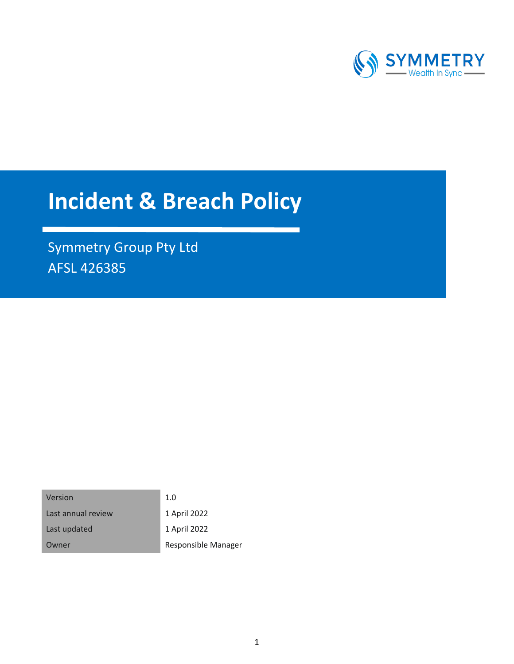

# **Incident & Breach Policy**

Symmetry Group Pty Ltd AFSL 426385

| Version            | 1.0                 |
|--------------------|---------------------|
| Last annual review | 1 April 2022        |
| Last updated       | 1 April 2022        |
| Owner              | Responsible Manager |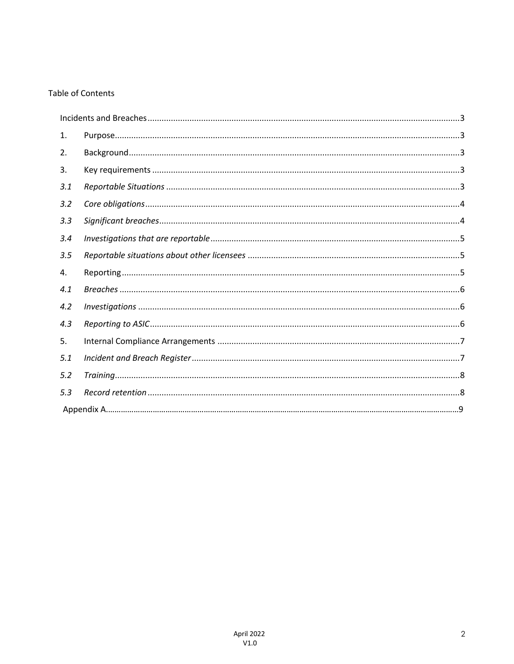# **Table of Contents**

| 1.  |  |
|-----|--|
| 2.  |  |
| 3.  |  |
| 3.1 |  |
| 3.2 |  |
| 3.3 |  |
| 3.4 |  |
| 3.5 |  |
| 4.  |  |
| 4.1 |  |
| 4.2 |  |
| 4.3 |  |
| 5.  |  |
| 5.1 |  |
| 5.2 |  |
| 5.3 |  |
|     |  |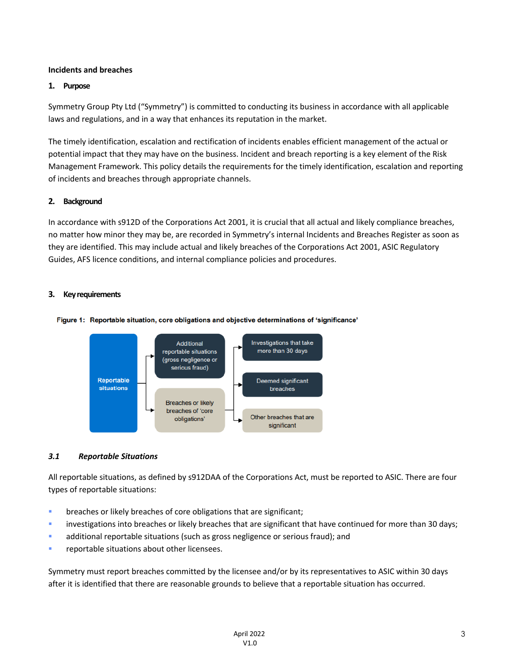# **Incidents and breaches**

## **1. Purpose**

Symmetry Group Pty Ltd ("Symmetry") is committed to conducting its business in accordance with all applicable laws and regulations, and in a way that enhances its reputation in the market.

The timely identification, escalation and rectification of incidents enables efficient management of the actual or potential impact that they may have on the business. Incident and breach reporting is a key element of the Risk Management Framework. This policy details the requirements for the timely identification, escalation and reporting of incidents and breaches through appropriate channels.

#### **2. Background**

In accordance with s912D of the Corporations Act 2001, it is crucial that all actual and likely compliance breaches, no matter how minor they may be, are recorded in Symmetry's internal Incidents and Breaches Register as soon as they are identified. This may include actual and likely breaches of the Corporations Act 2001, ASIC Regulatory Guides, AFS licence conditions, and internal compliance policies and procedures.

#### **3. Key requirements**





# *3.1 Reportable Situations*

All reportable situations, as defined by s912DAA of the Corporations Act, must be reported to ASIC. There are four types of reportable situations:

- **•** breaches or likely breaches of core obligations that are significant;
- **•** investigations into breaches or likely breaches that are significant that have continued for more than 30 days;
- **•** additional reportable situations (such as gross negligence or serious fraud); and
- reportable situations about other licensees.

Symmetry must report breaches committed by the licensee and/or by its representatives to ASIC within 30 days after it is identified that there are reasonable grounds to believe that a reportable situation has occurred.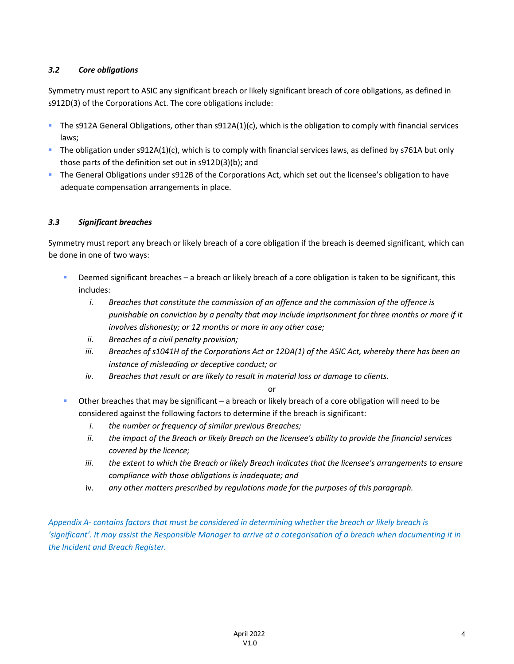# *3.2 Core obligations*

Symmetry must report to ASIC any significant breach or likely significant breach of core obligations, as defined in s912D(3) of the Corporations Act. The core obligations include:

- § The s912A General Obligations, other than s912A(1)(c), which is the obligation to comply with financial services laws;
- § The obligation under s912A(1)(c), which is to comply with financial services laws, as defined by s761A but only those parts of the definition set out in s912D(3)(b); and
- § The General Obligations under s912B of the Corporations Act, which set out the licensee's obligation to have adequate compensation arrangements in place.

# *3.3 Significant breaches*

Symmetry must report any breach or likely breach of a core obligation if the breach is deemed significant, which can be done in one of two ways:

- Deemed significant breaches a breach or likely breach of a core obligation is taken to be significant, this includes:
	- *i. Breaches that constitute the commission of an offence and the commission of the offence is punishable on conviction by a penalty that may include imprisonment for three months or more if it involves dishonesty; or 12 months or more in any other case;*
	- *ii. Breaches of a civil penalty provision;*
	- *iii. Breaches of s1041H of the Corporations Act or 12DA(1) of the ASIC Act, whereby there has been an instance of misleading or deceptive conduct; or*
	- *iv. Breaches that result or are likely to result in material loss or damage to clients.*

# or

- Other breaches that may be significant a breach or likely breach of a core obligation will need to be considered against the following factors to determine if the breach is significant:
	- *i. the number or frequency of similar previous Breaches;*
	- *ii. the impact of the Breach or likely Breach on the licensee's ability to provide the financial services covered by the licence;*
	- *iii. the extent to which the Breach or likely Breach indicates that the licensee's arrangements to ensure compliance with those obligations is inadequate; and*
	- iv. *any other matters prescribed by regulations made for the purposes of this paragraph.*

*Appendix A- contains factors that must be considered in determining whether the breach or likely breach is 'significant'. It may assist the Responsible Manager to arrive at a categorisation of a breach when documenting it in the Incident and Breach Register.*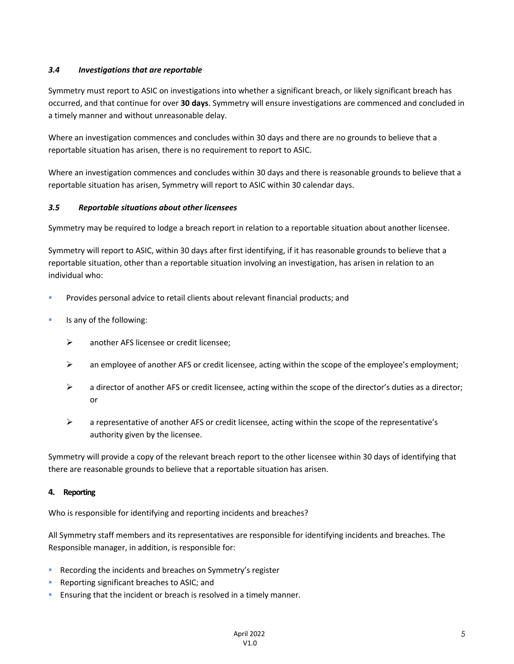# *3.4 Investigations that are reportable*

Symmetry must report to ASIC on investigations into whether a significant breach, or likely significant breach has occurred, and that continue for over **30 days**. Symmetry will ensure investigations are commenced and concluded in a timely manner and without unreasonable delay.

Where an investigation commences and concludes within 30 days and there are no grounds to believe that a reportable situation has arisen, there is no requirement to report to ASIC.

Where an investigation commences and concludes within 30 days and there is reasonable grounds to believe that a reportable situation has arisen, Symmetry will report to ASIC within 30 calendar days.

# *3.5 Reportable situations about other licensees*

Symmetry may be required to lodge a breach report in relation to a reportable situation about another licensee.

Symmetry will report to ASIC, within 30 days after first identifying, if it has reasonable grounds to believe that a reportable situation, other than a reportable situation involving an investigation, has arisen in relation to an individual who:

- § Provides personal advice to retail clients about relevant financial products; and
- Is any of the following:
	- $\triangleright$  another AFS licensee or credit licensee:
	- $\triangleright$  an employee of another AFS or credit licensee, acting within the scope of the employee's employment;
	- $\triangleright$  a director of another AFS or credit licensee, acting within the scope of the director's duties as a director; or
	- $\triangleright$  a representative of another AFS or credit licensee, acting within the scope of the representative's authority given by the licensee.

Symmetry will provide a copy of the relevant breach report to the other licensee within 30 days of identifying that there are reasonable grounds to believe that a reportable situation has arisen.

# **4. Reporting**

Who is responsible for identifying and reporting incidents and breaches?

All Symmetry staff members and its representatives are responsible for identifying incidents and breaches. The Responsible manager, in addition, is responsible for:

- Recording the incidents and breaches on Symmetry's register
- Reporting significant breaches to ASIC; and
- **Ensuring that the incident or breach is resolved in a timely manner.**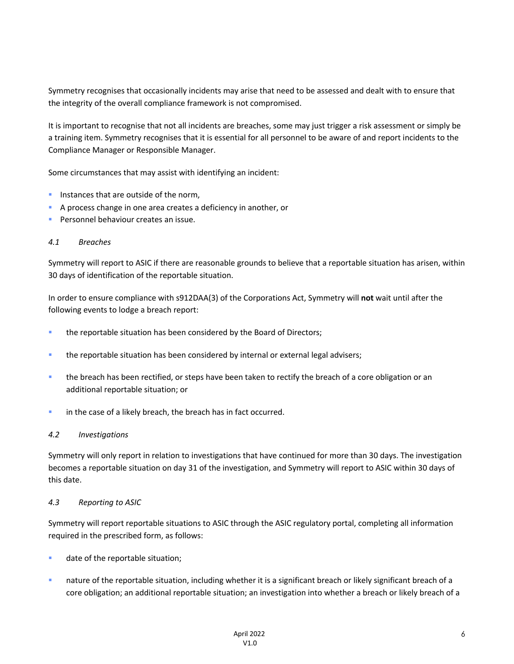Symmetry recognises that occasionally incidents may arise that need to be assessed and dealt with to ensure that the integrity of the overall compliance framework is not compromised.

It is important to recognise that not all incidents are breaches, some may just trigger a risk assessment or simply be a training item. Symmetry recognises that it is essential for all personnel to be aware of and report incidents to the Compliance Manager or Responsible Manager.

Some circumstances that may assist with identifying an incident:

- **•** Instances that are outside of the norm,
- § A process change in one area creates a deficiency in another, or
- Personnel behaviour creates an issue.

#### *4.1 Breaches*

Symmetry will report to ASIC if there are reasonable grounds to believe that a reportable situation has arisen, within 30 days of identification of the reportable situation.

In order to ensure compliance with s912DAA(3) of the Corporations Act, Symmetry will **not** wait until after the following events to lodge a breach report:

- **the reportable situation has been considered by the Board of Directors;**
- **•** the reportable situation has been considered by internal or external legal advisers;
- **•** the breach has been rectified, or steps have been taken to rectify the breach of a core obligation or an additional reportable situation; or
- **•** in the case of a likely breach, the breach has in fact occurred.

#### *4.2 Investigations*

Symmetry will only report in relation to investigations that have continued for more than 30 days. The investigation becomes a reportable situation on day 31 of the investigation, and Symmetry will report to ASIC within 30 days of this date.

#### *4.3 Reporting to ASIC*

Symmetry will report reportable situations to ASIC through the ASIC regulatory portal, completing all information required in the prescribed form, as follows:

- date of the reportable situation;
- **•** nature of the reportable situation, including whether it is a significant breach or likely significant breach of a core obligation; an additional reportable situation; an investigation into whether a breach or likely breach of a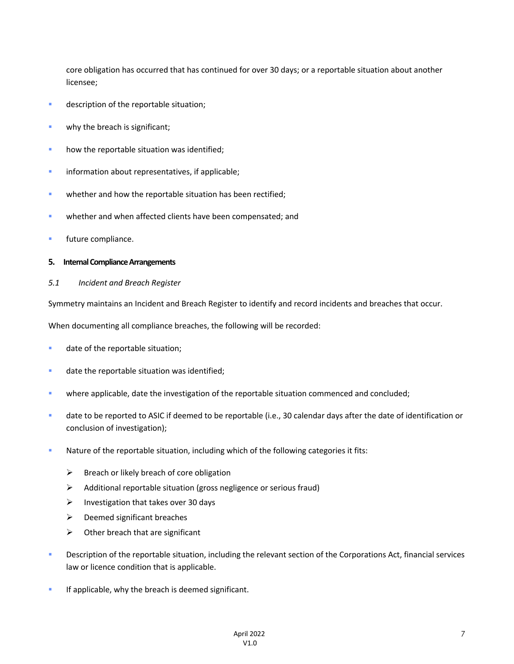core obligation has occurred that has continued for over 30 days; or a reportable situation about another licensee;

- **•** description of the reportable situation;
- **•** why the breach is significant;
- **•** how the reportable situation was identified;
- **•** information about representatives, if applicable;
- **whether and how the reportable situation has been rectified;**
- **whether and when affected clients have been compensated; and**
- **■** future compliance.

#### **5. Internal Compliance Arrangements**

#### *5.1 Incident and Breach Register*

Symmetry maintains an Incident and Breach Register to identify and record incidents and breaches that occur.

When documenting all compliance breaches, the following will be recorded:

- **•** date of the reportable situation;
- **•** date the reportable situation was identified;
- where applicable, date the investigation of the reportable situation commenced and concluded;
- § date to be reported to ASIC if deemed to be reportable (i.e., 30 calendar days after the date of identification or conclusion of investigation);
- **Nature of the reportable situation, including which of the following categories it fits:** 
	- $\triangleright$  Breach or likely breach of core obligation
	- $\triangleright$  Additional reportable situation (gross negligence or serious fraud)
	- $\triangleright$  Investigation that takes over 30 days
	- $\triangleright$  Deemed significant breaches
	- $\triangleright$  Other breach that are significant
- **•** Description of the reportable situation, including the relevant section of the Corporations Act, financial services law or licence condition that is applicable.
- **•** If applicable, why the breach is deemed significant.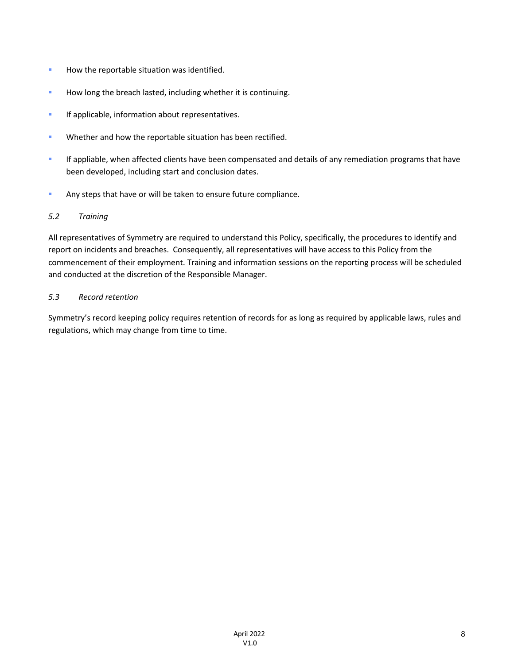- **How the reportable situation was identified.**
- **EXECT** How long the breach lasted, including whether it is continuing.
- **•** If applicable, information about representatives.
- **Whether and how the reportable situation has been rectified.**
- **•** If appliable, when affected clients have been compensated and details of any remediation programs that have been developed, including start and conclusion dates.
- **EXTERGHTM** Any steps that have or will be taken to ensure future compliance.

# *5.2 Training*

All representatives of Symmetry are required to understand this Policy, specifically, the procedures to identify and report on incidents and breaches. Consequently, all representatives will have access to this Policy from the commencement of their employment. Training and information sessions on the reporting process will be scheduled and conducted at the discretion of the Responsible Manager.

# *5.3 Record retention*

Symmetry's record keeping policy requires retention of records for as long as required by applicable laws, rules and regulations, which may change from time to time.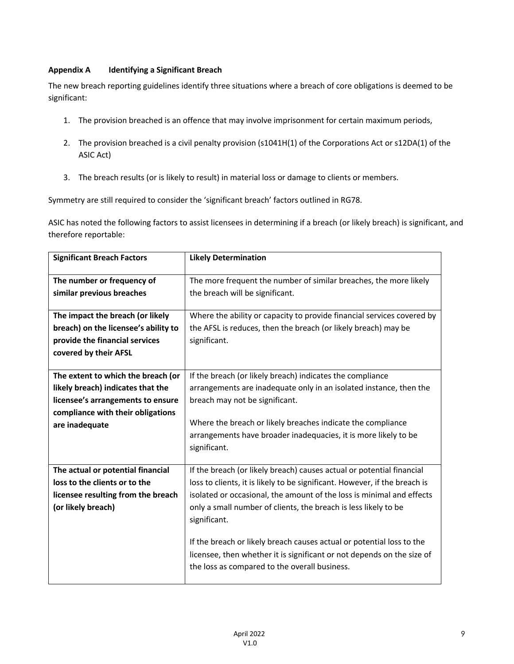# **Appendix A Identifying a Significant Breach**

The new breach reporting guidelines identify three situations where a breach of core obligations is deemed to be significant:

- 1. The provision breached is an offence that may involve imprisonment for certain maximum periods,
- 2. The provision breached is a civil penalty provision (s1041H(1) of the Corporations Act or s12DA(1) of the ASIC Act)
- 3. The breach results (or is likely to result) in material loss or damage to clients or members.

Symmetry are still required to consider the 'significant breach' factors outlined in RG78.

ASIC has noted the following factors to assist licensees in determining if a breach (or likely breach) is significant, and therefore reportable:

| <b>Significant Breach Factors</b>                                                                                                                                   | <b>Likely Determination</b>                                                                                                                                                                                                                                                                                                                                                                                                                                                                                         |
|---------------------------------------------------------------------------------------------------------------------------------------------------------------------|---------------------------------------------------------------------------------------------------------------------------------------------------------------------------------------------------------------------------------------------------------------------------------------------------------------------------------------------------------------------------------------------------------------------------------------------------------------------------------------------------------------------|
| The number or frequency of<br>similar previous breaches                                                                                                             | The more frequent the number of similar breaches, the more likely<br>the breach will be significant.                                                                                                                                                                                                                                                                                                                                                                                                                |
| The impact the breach (or likely<br>breach) on the licensee's ability to<br>provide the financial services<br>covered by their AFSL                                 | Where the ability or capacity to provide financial services covered by<br>the AFSL is reduces, then the breach (or likely breach) may be<br>significant.                                                                                                                                                                                                                                                                                                                                                            |
| The extent to which the breach (or<br>likely breach) indicates that the<br>licensee's arrangements to ensure<br>compliance with their obligations<br>are inadequate | If the breach (or likely breach) indicates the compliance<br>arrangements are inadequate only in an isolated instance, then the<br>breach may not be significant.<br>Where the breach or likely breaches indicate the compliance<br>arrangements have broader inadequacies, it is more likely to be<br>significant.                                                                                                                                                                                                 |
| The actual or potential financial<br>loss to the clients or to the<br>licensee resulting from the breach<br>(or likely breach)                                      | If the breach (or likely breach) causes actual or potential financial<br>loss to clients, it is likely to be significant. However, if the breach is<br>isolated or occasional, the amount of the loss is minimal and effects<br>only a small number of clients, the breach is less likely to be<br>significant.<br>If the breach or likely breach causes actual or potential loss to the<br>licensee, then whether it is significant or not depends on the size of<br>the loss as compared to the overall business. |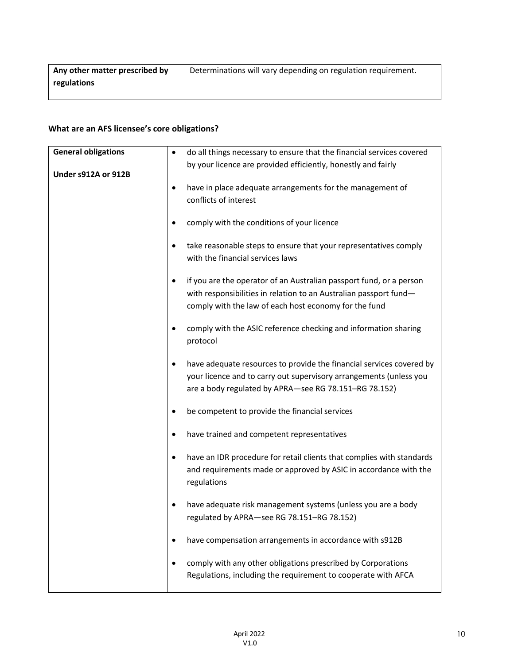| Any other matter prescribed by | Determinations will vary depending on regulation requirement. |
|--------------------------------|---------------------------------------------------------------|
| regulations                    |                                                               |
|                                |                                                               |

# **What are an AFS licensee's core obligations?**

| <b>General obligations</b> | ٠         | do all things necessary to ensure that the financial services covered |
|----------------------------|-----------|-----------------------------------------------------------------------|
|                            |           | by your licence are provided efficiently, honestly and fairly         |
| Under s912A or 912B        |           |                                                                       |
|                            | $\bullet$ | have in place adequate arrangements for the management of             |
|                            |           | conflicts of interest                                                 |
|                            | $\bullet$ | comply with the conditions of your licence                            |
|                            | ٠         | take reasonable steps to ensure that your representatives comply      |
|                            |           | with the financial services laws                                      |
|                            |           |                                                                       |
|                            | ٠         | if you are the operator of an Australian passport fund, or a person   |
|                            |           | with responsibilities in relation to an Australian passport fund-     |
|                            |           | comply with the law of each host economy for the fund                 |
|                            | ٠         | comply with the ASIC reference checking and information sharing       |
|                            |           | protocol                                                              |
|                            |           |                                                                       |
|                            | $\bullet$ | have adequate resources to provide the financial services covered by  |
|                            |           | your licence and to carry out supervisory arrangements (unless you    |
|                            |           | are a body regulated by APRA-see RG 78.151-RG 78.152)                 |
|                            | ٠         | be competent to provide the financial services                        |
|                            | ٠         | have trained and competent representatives                            |
|                            | ٠         | have an IDR procedure for retail clients that complies with standards |
|                            |           | and requirements made or approved by ASIC in accordance with the      |
|                            |           | regulations                                                           |
|                            |           |                                                                       |
|                            | $\bullet$ | have adequate risk management systems (unless you are a body          |
|                            |           | regulated by APRA-see RG 78.151-RG 78.152)                            |
|                            | ٠         | have compensation arrangements in accordance with s912B               |
|                            |           | comply with any other obligations prescribed by Corporations          |
|                            |           | Regulations, including the requirement to cooperate with AFCA         |
|                            |           |                                                                       |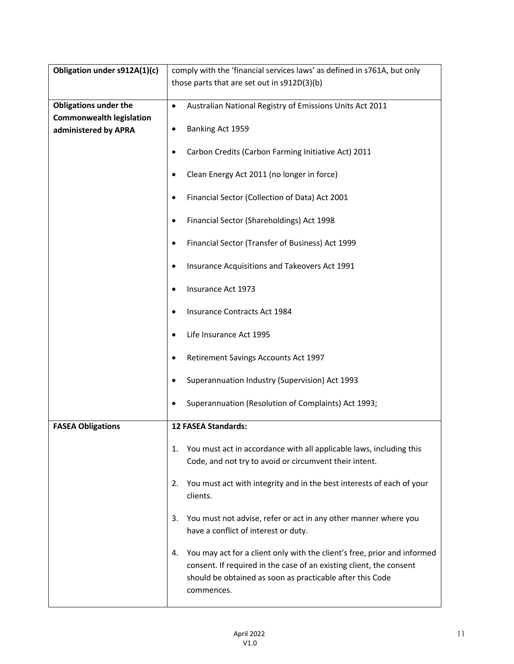| Obligation under s912A(1)(c)    | comply with the 'financial services laws' as defined in s761A, but only                                                                                                                                                          |  |
|---------------------------------|----------------------------------------------------------------------------------------------------------------------------------------------------------------------------------------------------------------------------------|--|
|                                 | those parts that are set out in s912D(3)(b)                                                                                                                                                                                      |  |
|                                 |                                                                                                                                                                                                                                  |  |
| <b>Obligations under the</b>    | Australian National Registry of Emissions Units Act 2011<br>$\bullet$                                                                                                                                                            |  |
| <b>Commonwealth legislation</b> |                                                                                                                                                                                                                                  |  |
| administered by APRA            | Banking Act 1959<br>٠                                                                                                                                                                                                            |  |
|                                 | Carbon Credits (Carbon Farming Initiative Act) 2011                                                                                                                                                                              |  |
|                                 | Clean Energy Act 2011 (no longer in force)                                                                                                                                                                                       |  |
|                                 | Financial Sector (Collection of Data) Act 2001<br>٠                                                                                                                                                                              |  |
|                                 | Financial Sector (Shareholdings) Act 1998                                                                                                                                                                                        |  |
|                                 | Financial Sector (Transfer of Business) Act 1999                                                                                                                                                                                 |  |
|                                 | Insurance Acquisitions and Takeovers Act 1991                                                                                                                                                                                    |  |
|                                 | Insurance Act 1973                                                                                                                                                                                                               |  |
|                                 | Insurance Contracts Act 1984                                                                                                                                                                                                     |  |
|                                 | Life Insurance Act 1995                                                                                                                                                                                                          |  |
|                                 | Retirement Savings Accounts Act 1997<br>٠                                                                                                                                                                                        |  |
|                                 | Superannuation Industry (Supervision) Act 1993                                                                                                                                                                                   |  |
|                                 | Superannuation (Resolution of Complaints) Act 1993;                                                                                                                                                                              |  |
| <b>FASEA Obligations</b>        | <b>12 FASEA Standards:</b>                                                                                                                                                                                                       |  |
|                                 | You must act in accordance with all applicable laws, including this<br>1.<br>Code, and not try to avoid or circumvent their intent.                                                                                              |  |
|                                 | You must act with integrity and in the best interests of each of your<br>2.<br>clients.                                                                                                                                          |  |
|                                 | You must not advise, refer or act in any other manner where you<br>3.<br>have a conflict of interest or duty.                                                                                                                    |  |
|                                 | You may act for a client only with the client's free, prior and informed<br>4.<br>consent. If required in the case of an existing client, the consent<br>should be obtained as soon as practicable after this Code<br>commences. |  |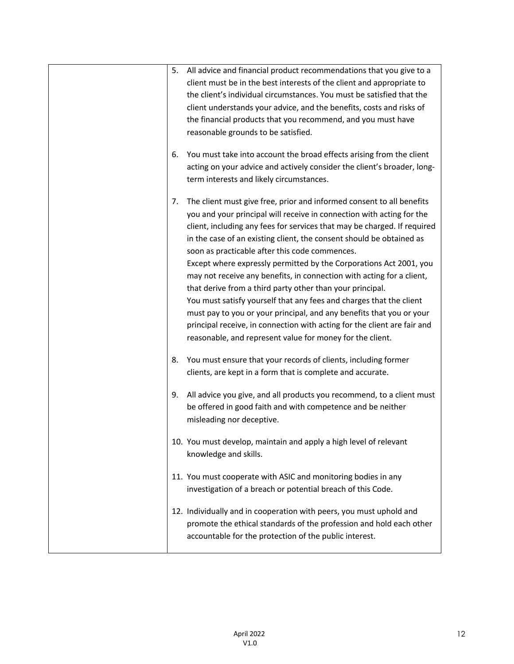| 5. | All advice and financial product recommendations that you give to a      |
|----|--------------------------------------------------------------------------|
|    | client must be in the best interests of the client and appropriate to    |
|    | the client's individual circumstances. You must be satisfied that the    |
|    | client understands your advice, and the benefits, costs and risks of     |
|    | the financial products that you recommend, and you must have             |
|    | reasonable grounds to be satisfied.                                      |
|    |                                                                          |
| 6. | You must take into account the broad effects arising from the client     |
|    | acting on your advice and actively consider the client's broader, long-  |
|    | term interests and likely circumstances.                                 |
|    |                                                                          |
| 7. | The client must give free, prior and informed consent to all benefits    |
|    | you and your principal will receive in connection with acting for the    |
|    | client, including any fees for services that may be charged. If required |
|    | in the case of an existing client, the consent should be obtained as     |
|    | soon as practicable after this code commences.                           |
|    | Except where expressly permitted by the Corporations Act 2001, you       |
|    | may not receive any benefits, in connection with acting for a client,    |
|    | that derive from a third party other than your principal.                |
|    | You must satisfy yourself that any fees and charges that the client      |
|    | must pay to you or your principal, and any benefits that you or your     |
|    | principal receive, in connection with acting for the client are fair and |
|    | reasonable, and represent value for money for the client.                |
| 8. | You must ensure that your records of clients, including former           |
|    | clients, are kept in a form that is complete and accurate.               |
|    |                                                                          |
| 9. | All advice you give, and all products you recommend, to a client must    |
|    | be offered in good faith and with competence and be neither              |
|    | misleading nor deceptive.                                                |
|    |                                                                          |
|    | 10. You must develop, maintain and apply a high level of relevant        |
|    | knowledge and skills.                                                    |
|    | 11. You must cooperate with ASIC and monitoring bodies in any            |
|    | investigation of a breach or potential breach of this Code.              |
|    |                                                                          |
|    | 12. Individually and in cooperation with peers, you must uphold and      |
|    | promote the ethical standards of the profession and hold each other      |
|    | accountable for the protection of the public interest.                   |
|    |                                                                          |